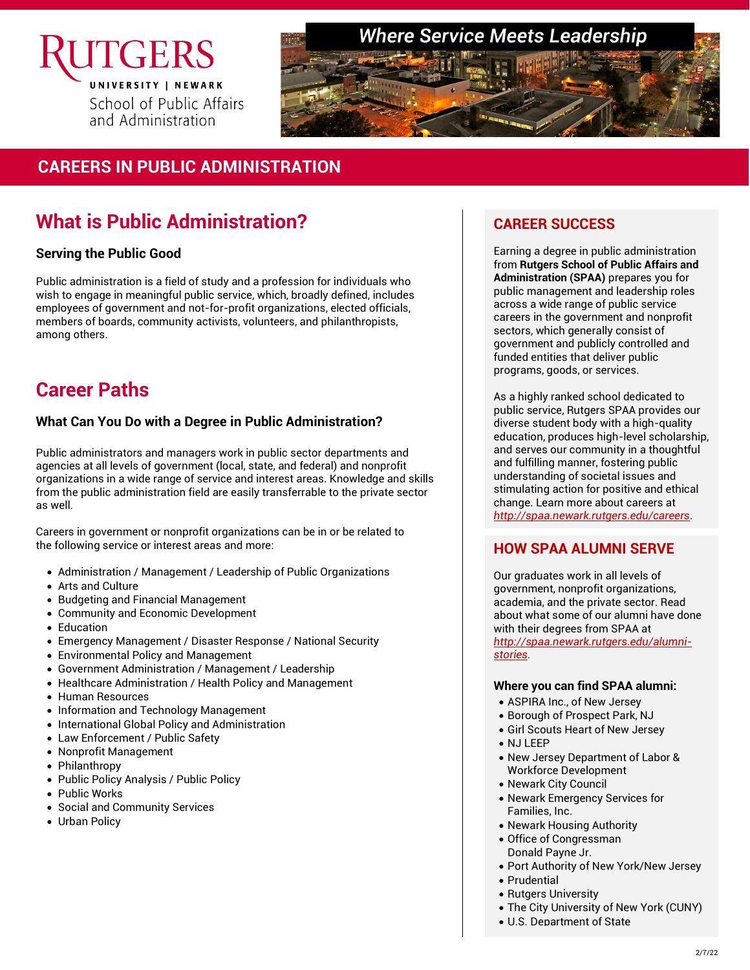

### *Where Service Meets Leadership*



### **CAREERS IN PUBLIC ADMINISTRATION**

## **What is Public Administration?**

#### **Serving the Public Good**

Public administration is a field of study and a profession for individuals who wish to engage in meaningful public service, which, broadly defined, includes employees of government and not-for-profit organizations, elected officials, members of boards, community activists, volunteers, and philanthropists, among others.

## **Career Paths**

#### **What Can You Do with a Degree in Public Administration?**

Public administrators and managers work in public sector departments and agencies at all levels of government (local, state, and federal) and nonprofit organizations in a wide range of service and interest areas. Knowledge and skills from the public administration field are easily transferrable to the private sector as well.

Careers in government or nonprofit organizations can be in or be related to the following service or interest areas and more:

- Administration / Management / Leadership of Public Organizations
- Arts and Culture
- Budgeting and Financial Management
- Community and Economic Development
- Education
- Emergency Management / Disaster Response / National Security
- Environmental Policy and Management
- Government Administration / Management / Leadership
- Healthcare Administration / Health Policy and Management
- Human Resources
- Information and Technology Management
- International Global Policy and Administration
- Law Enforcement / Public Safety
- Nonprofit Management
- Philanthropy
- Public Policy Analysis / Public Policy
- Public Works
- Social and Community Services
- Urban Policy

### **CAREER SUCCESS**

Earning a degree in public administration from **Rutgers School of Public Affairs and Administration (SPAA)** prepares you for public management and leadership roles across a wide range of public service careers in the government and nonprofit sectors, which generally consist of government and publicly controlled and funded entities that deliver public programs, goods, or services.

As a highly ranked school dedicated to public service, Rutgers SPAA provides our diverse student body with a high-quality education, produces high-level scholarship, and serves our community in a thoughtful and fulfilling manner, fostering public understanding of societal issues and stimulating action for positive and ethical change. Learn more about careers at *<http://spaa.newark.rutgers.edu/careers>*.

### **HOW SPAA ALUMNI SERVE**

Our graduates work in all levels of government, nonprofit organizations, academia, and the private sector. Read about what some of our alumni have done with their degrees from SPAA at *[http://spaa.newark.rutgers.edu/alumni](http://spaa.newark.rutgers.edu/alumni-stories)[stories.](http://spaa.newark.rutgers.edu/alumni-stories)*

#### **Where you can find SPAA alumni:**

- ASPIRA Inc., of New Jersey
- Borough of Prospect Park, NJ
- Girl Scouts Heart of New Jersey
- NJ LEEP
- New Jersey Department of Labor & Workforce Development
- Newark City Council
- Newark Emergency Services for Families, Inc.
- Newark Housing Authority
- Office of Congressman Donald Payne Jr.
- Port Authority of New York/New Jersey
- Prudential
- Rutgers University
- The City University of New York (CUNY)
- U.S. Department of State